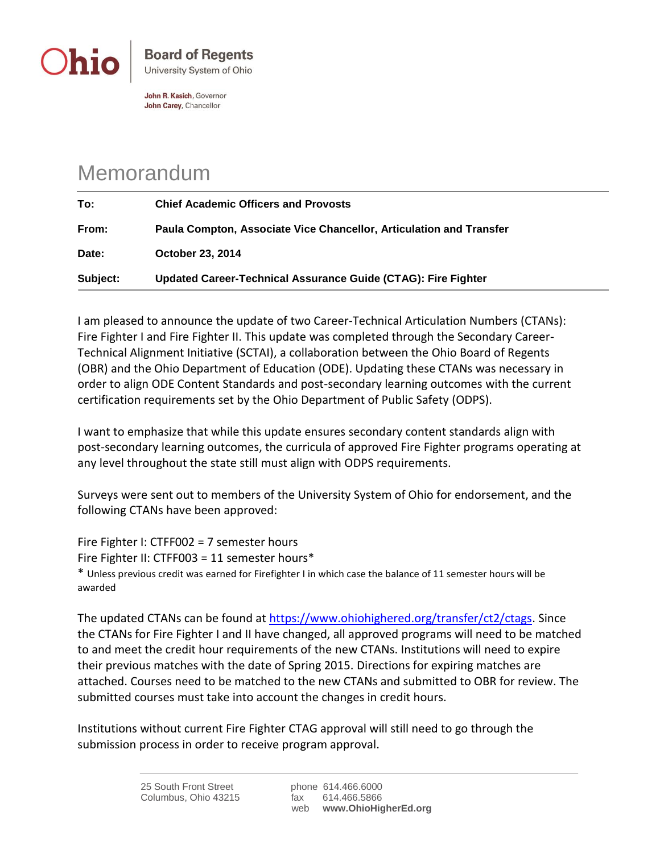

John R. Kasich, Governor John Carey, Chancellor

## Memorandum

| To:      | <b>Chief Academic Officers and Provosts</b>                         |
|----------|---------------------------------------------------------------------|
| From:    | Paula Compton, Associate Vice Chancellor, Articulation and Transfer |
| Date:    | <b>October 23, 2014</b>                                             |
| Subject: | Updated Career-Technical Assurance Guide (CTAG): Fire Fighter       |

I am pleased to announce the update of two Career-Technical Articulation Numbers (CTANs): Fire Fighter I and Fire Fighter II. This update was completed through the Secondary Career-Technical Alignment Initiative (SCTAI), a collaboration between the Ohio Board of Regents (OBR) and the Ohio Department of Education (ODE). Updating these CTANs was necessary in order to align ODE Content Standards and post-secondary learning outcomes with the current certification requirements set by the Ohio Department of Public Safety (ODPS).

I want to emphasize that while this update ensures secondary content standards align with post-secondary learning outcomes, the curricula of approved Fire Fighter programs operating at any level throughout the state still must align with ODPS requirements.

Surveys were sent out to members of the University System of Ohio for endorsement, and the following CTANs have been approved:

Fire Fighter I: CTFF002 = 7 semester hours

Fire Fighter II: CTFF003 = 11 semester hours\*

\* Unless previous credit was earned for Firefighter I in which case the balance of 11 semester hours will be awarded

The updated CTANs can be found at [https://www.ohiohighered.org/transfer/ct2/ctags.](https://www.ohiohighered.org/transfer/ct2/ctags) Since the CTANs for Fire Fighter I and II have changed, all approved programs will need to be matched to and meet the credit hour requirements of the new CTANs. Institutions will need to expire their previous matches with the date of Spring 2015. Directions for expiring matches are attached. Courses need to be matched to the new CTANs and submitted to OBR for review. The submitted courses must take into account the changes in credit hours.

Institutions without current Fire Fighter CTAG approval will still need to go through the submission process in order to receive program approval.